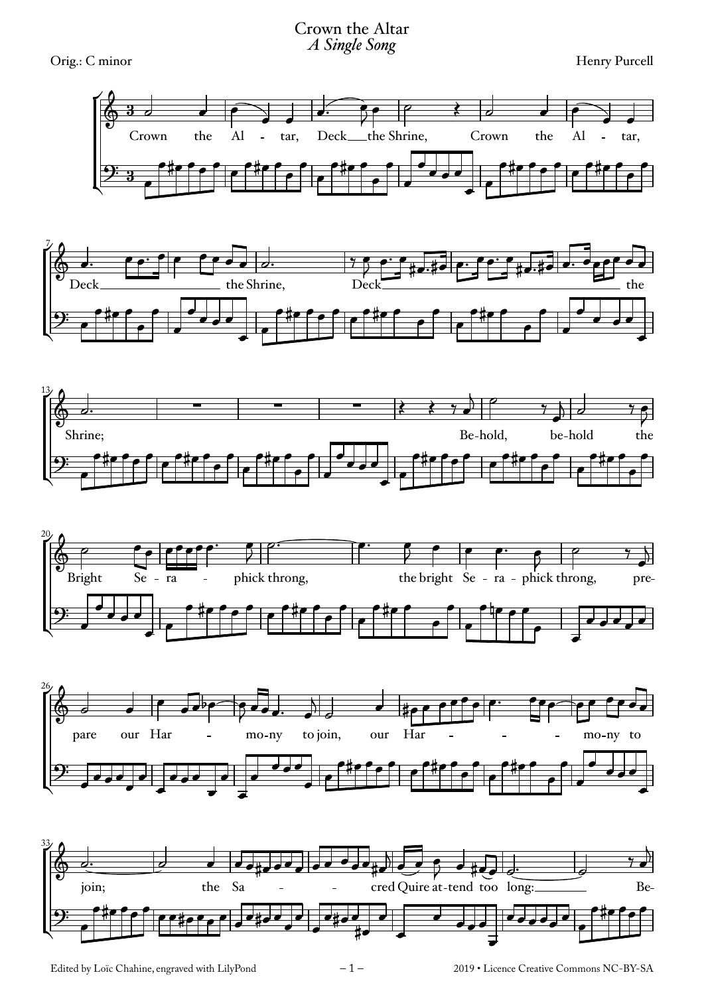## Crown the Altar *A Single Song*

Orig.: C minor Henry Purcell